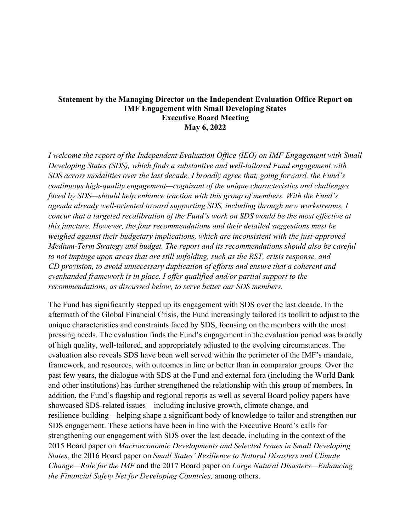## **Statement by the Managing Director on the Independent Evaluation Office Report on IMF Engagement with Small Developing States Executive Board Meeting May 6, 2022**

*I welcome the report of the Independent Evaluation Office (IEO) on IMF Engagement with Small Developing States (SDS), which finds a substantive and well-tailored Fund engagement with SDS across modalities over the last decade. I broadly agree that, going forward, the Fund's continuous high-quality engagement—cognizant of the unique characteristics and challenges faced by SDS—should help enhance traction with this group of members. With the Fund's agenda already well-oriented toward supporting SDS, including through new workstreams, I concur that a targeted recalibration of the Fund's work on SDS would be the most effective at this juncture. However, the four recommendations and their detailed suggestions must be weighed against their budgetary implications, which are inconsistent with the just-approved Medium-Term Strategy and budget. The report and its recommendations should also be careful to not impinge upon areas that are still unfolding, such as the RST, crisis response, and CD provision, to avoid unnecessary duplication of efforts and ensure that a coherent and evenhanded framework is in place. I offer qualified and/or partial support to the recommendations, as discussed below, to serve better our SDS members.* 

The Fund has significantly stepped up its engagement with SDS over the last decade. In the aftermath of the Global Financial Crisis, the Fund increasingly tailored its toolkit to adjust to the unique characteristics and constraints faced by SDS, focusing on the members with the most pressing needs. The evaluation finds the Fund's engagement in the evaluation period was broadly of high quality, well-tailored, and appropriately adjusted to the evolving circumstances. The evaluation also reveals SDS have been well served within the perimeter of the IMF's mandate, framework, and resources, with outcomes in line or better than in comparator groups. Over the past few years, the dialogue with SDS at the Fund and external fora (including the World Bank and other institutions) has further strengthened the relationship with this group of members. In addition, the Fund's flagship and regional reports as well as several Board policy papers have showcased SDS-related issues—including inclusive growth, climate change, and resilience-building—helping shape a significant body of knowledge to tailor and strengthen our SDS engagement. These actions have been in line with the Executive Board's calls for strengthening our engagement with SDS over the last decade, including in the context of the 2015 Board paper on *Macroeconomic Developments and Selected Issues in Small Developing States*, the 2016 Board paper on *Small States' Resilience to Natural Disasters and Climate Change—Role for the IMF* and the 2017 Board paper on *Large Natural Disasters—Enhancing the Financial Safety Net for Developing Countries,* among others.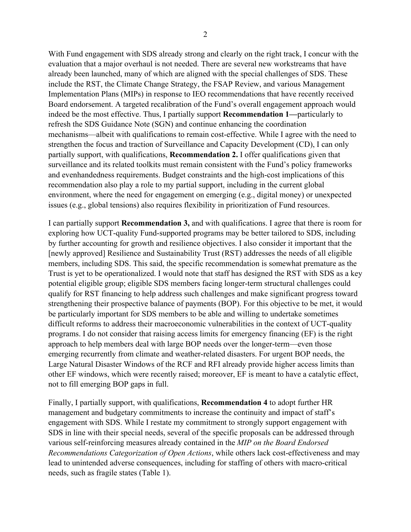With Fund engagement with SDS already strong and clearly on the right track, I concur with the evaluation that a major overhaul is not needed. There are several new workstreams that have already been launched, many of which are aligned with the special challenges of SDS. These include the RST, the Climate Change Strategy, the FSAP Review, and various Management Implementation Plans (MIPs) in response to IEO recommendations that have recently received Board endorsement. A targeted recalibration of the Fund's overall engagement approach would indeed be the most effective. Thus, I partially support **Recommendation 1—**particularly to refresh the SDS Guidance Note (SGN) and continue enhancing the coordination mechanisms—albeit with qualifications to remain cost-effective. While I agree with the need to strengthen the focus and traction of Surveillance and Capacity Development (CD), I can only partially support, with qualifications, **Recommendation 2.** I offer qualifications given that surveillance and its related toolkits must remain consistent with the Fund's policy frameworks and evenhandedness requirements. Budget constraints and the high-cost implications of this recommendation also play a role to my partial support, including in the current global environment, where the need for engagement on emerging (e.g., digital money) or unexpected issues (e.g., global tensions) also requires flexibility in prioritization of Fund resources.

I can partially support **Recommendation 3,** and with qualifications. I agree that there is room for exploring how UCT-quality Fund-supported programs may be better tailored to SDS, including by further accounting for growth and resilience objectives. I also consider it important that the [newly approved] Resilience and Sustainability Trust (RST) addresses the needs of all eligible members, including SDS. This said, the specific recommendation is somewhat premature as the Trust is yet to be operationalized. I would note that staff has designed the RST with SDS as a key potential eligible group; eligible SDS members facing longer-term structural challenges could qualify for RST financing to help address such challenges and make significant progress toward strengthening their prospective balance of payments (BOP). For this objective to be met, it would be particularly important for SDS members to be able and willing to undertake sometimes difficult reforms to address their macroeconomic vulnerabilities in the context of UCT-quality programs. I do not consider that raising access limits for emergency financing (EF) is the right approach to help members deal with large BOP needs over the longer-term—even those emerging recurrently from climate and weather-related disasters. For urgent BOP needs, the Large Natural Disaster Windows of the RCF and RFI already provide higher access limits than other EF windows, which were recently raised; moreover, EF is meant to have a catalytic effect, not to fill emerging BOP gaps in full.

Finally, I partially support, with qualifications, **Recommendation 4** to adopt further HR management and budgetary commitments to increase the continuity and impact of staff's engagement with SDS. While I restate my commitment to strongly support engagement with SDS in line with their special needs, several of the specific proposals can be addressed through various self-reinforcing measures already contained in the *MIP on the Board Endorsed Recommendations Categorization of Open Actions*, while others lack cost-effectiveness and may lead to unintended adverse consequences, including for staffing of others with macro-critical needs, such as fragile states (Table 1).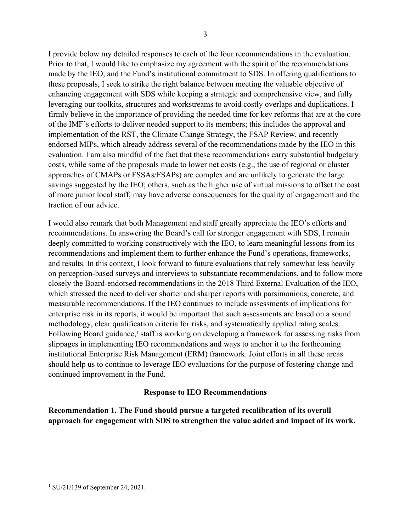I provide below my detailed responses to each of the four recommendations in the evaluation. Prior to that, I would like to emphasize my agreement with the spirit of the recommendations made by the IEO, and the Fund's institutional commitment to SDS. In offering qualifications to these proposals, I seek to strike the right balance between meeting the valuable objective of enhancing engagement with SDS while keeping a strategic and comprehensive view, and fully leveraging our toolkits, structures and workstreams to avoid costly overlaps and duplications. I firmly believe in the importance of providing the needed time for key reforms that are at the core of the IMF's efforts to deliver needed support to its members; this includes the approval and implementation of the RST, the Climate Change Strategy, the FSAP Review, and recently endorsed MIPs, which already address several of the recommendations made by the IEO in this evaluation. I am also mindful of the fact that these recommendations carry substantial budgetary costs, while some of the proposals made to lower net costs (e.g., the use of regional or cluster approaches of CMAPs or FSSAs/FSAPs) are complex and are unlikely to generate the large savings suggested by the IEO; others, such as the higher use of virtual missions to offset the cost of more junior local staff, may have adverse consequences for the quality of engagement and the traction of our advice.

I would also remark that both Management and staff greatly appreciate the IEO's efforts and recommendations. In answering the Board's call for stronger engagement with SDS, I remain deeply committed to working constructively with the IEO, to learn meaningful lessons from its recommendations and implement them to further enhance the Fund's operations, frameworks, and results. In this context, I look forward to future evaluations that rely somewhat less heavily on perception-based surveys and interviews to substantiate recommendations, and to follow more closely the Board-endorsed recommendations in the 2018 Third External Evaluation of the IEO, which stressed the need to deliver shorter and sharper reports with parsimonious, concrete, and measurable recommendations. If the IEO continues to include assessments of implications for enterprise risk in its reports, it would be important that such assessments are based on a sound methodology, clear qualification criteria for risks, and systematically applied rating scales. Following Board guidance,<sup>1</sup> staff is working on developing a framework for assessing risks from slippages in implementing IEO recommendations and ways to anchor it to the forthcoming institutional Enterprise Risk Management (ERM) framework. Joint efforts in all these areas should help us to continue to leverage IEO evaluations for the purpose of fostering change and continued improvement in the Fund.

## **Response to IEO Recommendations**

**Recommendation 1. The Fund should pursue a targeted recalibration of its overall approach for engagement with SDS to strengthen the value added and impact of its work.** 

<sup>1</sup> SU/21/139 of September 24, 2021.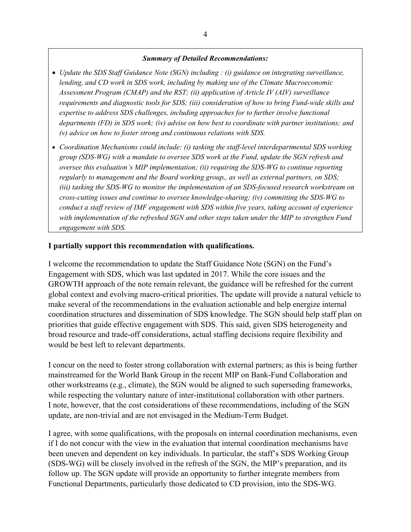#### *Summary of Detailed Recommendations:*

- *Update the SDS Staff Guidance Note (SGN) including : (i) guidance on integrating surveillance, lending, and CD work in SDS work, including by making use of the Climate Macroeconomic Assessment Program (CMAP) and the RST; (ii) application of Article IV (AIV) surveillance requirements and diagnostic tools for SDS; (iii) consideration of how to bring Fund-wide skills and expertise to address SDS challenges, including approaches for to further involve functional departments (FD) in SDS work; (iv) advise on how best to coordinate with partner institutions; and (v) advice on how to foster strong and continuous relations with SDS.*
- *Coordination Mechanisms could include: (i) tasking the staff-level interdepartmental SDS working group (SDS-WG) with a mandate to oversee SDS work at the Fund, update the SGN refresh and oversee this evaluation's MIP implementation; (ii) requiring the SDS-WG to continue reporting regularly to management and the Board working group,, as well as external partners, on SDS; (iii) tasking the SDS-WG to monitor the implementation of an SDS-focused research workstream on cross-cutting issues and continue to oversee knowledge-sharing; (iv) committing the SDS-WG to conduct a staff review of IMF engagement with SDS within five years, taking account of experience with implementation of the refreshed SGN and other steps taken under the MIP to strengthen Fund engagement with SDS.*

### **I partially support this recommendation with qualifications.**

I welcome the recommendation to update the Staff Guidance Note (SGN) on the Fund's Engagement with SDS, which was last updated in 2017. While the core issues and the GROWTH approach of the note remain relevant, the guidance will be refreshed for the current global context and evolving macro-critical priorities. The update will provide a natural vehicle to make several of the recommendations in the evaluation actionable and help energize internal coordination structures and dissemination of SDS knowledge. The SGN should help staff plan on priorities that guide effective engagement with SDS. This said, given SDS heterogeneity and broad resource and trade-off considerations, actual staffing decisions require flexibility and would be best left to relevant departments.

I concur on the need to foster strong collaboration with external partners; as this is being further mainstreamed for the World Bank Group in the recent MIP on Bank-Fund Collaboration and other workstreams (e.g., climate), the SGN would be aligned to such superseding frameworks, while respecting the voluntary nature of inter-institutional collaboration with other partners. I note, however, that the cost considerations of these recommendations, including of the SGN update, are non-trivial and are not envisaged in the Medium-Term Budget.

I agree, with some qualifications, with the proposals on internal coordination mechanisms, even if I do not concur with the view in the evaluation that internal coordination mechanisms have been uneven and dependent on key individuals. In particular, the staff's SDS Working Group (SDS-WG) will be closely involved in the refresh of the SGN, the MIP's preparation, and its follow up. The SGN update will provide an opportunity to further integrate members from Functional Departments, particularly those dedicated to CD provision, into the SDS-WG.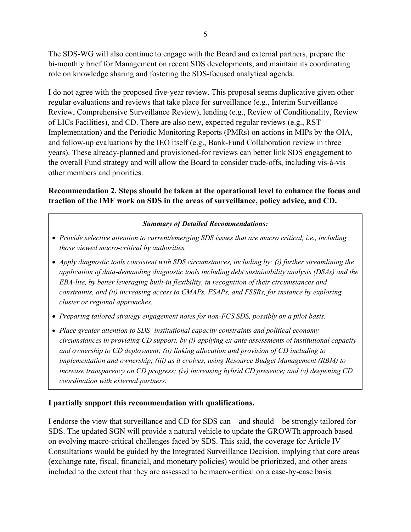The SDS-WG will also continue to engage with the Board and external partners, prepare the bi-monthly brief for Management on recent SDS developments, and maintain its coordinating role on knowledge sharing and fostering the SDS-focused analytical agenda.

I do not agree with the proposed five-year review. This proposal seems duplicative given other regular evaluations and reviews that take place for surveillance (e.g., Interim Surveillance Review, Comprehensive Surveillance Review), lending (e.g., Review of Conditionality, Review of LICs Facilities), and CD. There are also new, expected regular reviews (e.g., RST Implementation) and the Periodic Monitoring Reports (PMRs) on actions in MIPs by the OIA, and follow-up evaluations by the IEO itself (e.g., Bank-Fund Collaboration review in three years). These already-planned and provisioned-for reviews can better link SDS engagement to the overall Fund strategy and will allow the Board to consider trade-offs, including vis-à-vis other members and priorities.

# **Recommendation 2. Steps should be taken at the operational level to enhance the focus and traction of the IMF work on SDS in the areas of surveillance, policy advice, and CD.**

## *Summary of Detailed Recommendations:*

- *Provide selective attention to current/emerging SDS issues that are macro critical, i.e., including those viewed macro-critical by authorities.*
- *Apply diagnostic tools consistent with SDS circumstances, including by: (i) further streamlining the application of data-demanding diagnostic tools including debt sustainability analysis (DSAs) and the EBA-lite, by better leveraging built-in flexibility, in recognition of their circumstances and constraints, and (ii) increasing access to CMAPs, FSAPs, and FSSRs, for instance by exploring cluster or regional approaches.*
- *Preparing tailored strategy engagement notes for non-FCS SDS, possibly on a pilot basis.*
- *Place greater attention to SDS' institutional capacity constraints and political economy circumstances in providing CD support, by (i) applying ex-ante assessments of institutional capacity and ownership to CD deployment; (ii) linking allocation and provision of CD including to implementation and ownership; (iii) as it evolves, using Resource Budget Management (RBM) to increase transparency on CD progress; (iv) increasing hybrid CD presence; and (v) deepening CD coordination with external partners.*

### **I partially support this recommendation with qualifications.**

I endorse the view that surveillance and CD for SDS can—and should—be strongly tailored for SDS. The updated SGN will provide a natural vehicle to update the GROWTh approach based on evolving macro-critical challenges faced by SDS. This said, the coverage for Article IV Consultations would be guided by the Integrated Surveillance Decision, implying that core areas (exchange rate, fiscal, financial, and monetary policies) would be prioritized, and other areas included to the extent that they are assessed to be macro-critical on a case-by-case basis.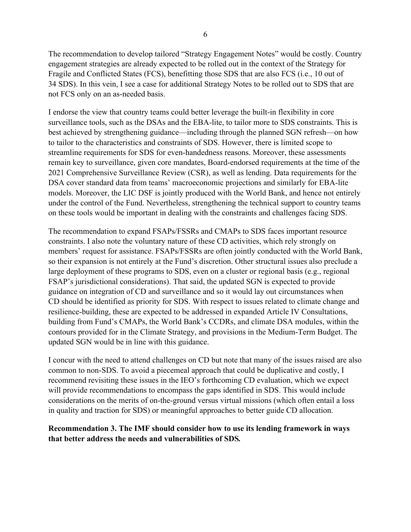The recommendation to develop tailored "Strategy Engagement Notes" would be costly. Country engagement strategies are already expected to be rolled out in the context of the Strategy for Fragile and Conflicted States (FCS), benefitting those SDS that are also FCS (i.e., 10 out of 34 SDS). In this vein, I see a case for additional Strategy Notes to be rolled out to SDS that are not FCS only on an as-needed basis.

I endorse the view that country teams could better leverage the built-in flexibility in core surveillance tools, such as the DSAs and the EBA-lite, to tailor more to SDS constraints. This is best achieved by strengthening guidance—including through the planned SGN refresh—on how to tailor to the characteristics and constraints of SDS. However, there is limited scope to streamline requirements for SDS for even-handedness reasons. Moreover, these assessments remain key to surveillance, given core mandates, Board-endorsed requirements at the time of the 2021 Comprehensive Surveillance Review (CSR), as well as lending. Data requirements for the DSA cover standard data from teams' macroeconomic projections and similarly for EBA-lite models. Moreover, the LIC DSF is jointly produced with the World Bank, and hence not entirely under the control of the Fund. Nevertheless, strengthening the technical support to country teams on these tools would be important in dealing with the constraints and challenges facing SDS.

The recommendation to expand FSAPs/FSSRs and CMAPs to SDS faces important resource constraints. I also note the voluntary nature of these CD activities, which rely strongly on members' request for assistance. FSAPs/FSSRs are often jointly conducted with the World Bank, so their expansion is not entirely at the Fund's discretion. Other structural issues also preclude a large deployment of these programs to SDS, even on a cluster or regional basis (e.g., regional FSAP's jurisdictional considerations). That said, the updated SGN is expected to provide guidance on integration of CD and surveillance and so it would lay out circumstances when CD should be identified as priority for SDS. With respect to issues related to climate change and resilience-building, these are expected to be addressed in expanded Article IV Consultations, building from Fund's CMAPs, the World Bank's CCDRs, and climate DSA modules, within the contours provided for in the Climate Strategy, and provisions in the Medium-Term Budget. The updated SGN would be in line with this guidance.

I concur with the need to attend challenges on CD but note that many of the issues raised are also common to non-SDS. To avoid a piecemeal approach that could be duplicative and costly, I recommend revisiting these issues in the IEO's forthcoming CD evaluation, which we expect will provide recommendations to encompass the gaps identified in SDS. This would include considerations on the merits of on-the-ground versus virtual missions (which often entail a loss in quality and traction for SDS) or meaningful approaches to better guide CD allocation.

## **Recommendation 3. The IMF should consider how to use its lending framework in ways that better address the needs and vulnerabilities of SDS***.*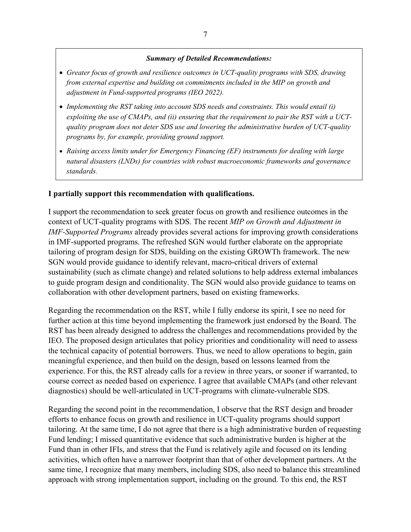#### *Summary of Detailed Recommendations:*

- *Greater focus of growth and resilience outcomes in UCT-quality programs with SDS, drawing from external expertise and building on commitments included in the MIP on growth and adjustment in Fund-supported programs (IEO 2022).*
- *Implementing the RST taking into account SDS needs and constraints. This would entail (i) exploiting the use of CMAPs, and (ii) ensuring that the requirement to pair the RST with a UCTquality program does not deter SDS use and lowering the administrative burden of UCT-quality programs by, for example, providing ground support.*
- *Raising access limits under for Emergency Financing (EF) instruments for dealing with large natural disasters (LNDs) for countries with robust macroeconomic frameworks and governance standards.*

#### **I partially support this recommendation with qualifications.**

I support the recommendation to seek greater focus on growth and resilience outcomes in the context of UCT-quality programs with SDS. The recent *MIP on Growth and Adjustment in IMF-Supported Programs* already provides several actions for improving growth considerations in IMF-supported programs. The refreshed SGN would further elaborate on the appropriate tailoring of program design for SDS, building on the existing GROWTh framework. The new SGN would provide guidance to identify relevant, macro-critical drivers of external sustainability (such as climate change) and related solutions to help address external imbalances to guide program design and conditionality. The SGN would also provide guidance to teams on collaboration with other development partners, based on existing frameworks.

Regarding the recommendation on the RST, while I fully endorse its spirit, I see no need for further action at this time beyond implementing the framework just endorsed by the Board. The RST has been already designed to address the challenges and recommendations provided by the IEO. The proposed design articulates that policy priorities and conditionality will need to assess the technical capacity of potential borrowers. Thus, we need to allow operations to begin, gain meaningful experience, and then build on the design, based on lessons learned from the experience. For this, the RST already calls for a review in three years, or sooner if warranted, to course correct as needed based on experience. I agree that available CMAPs (and other relevant diagnostics) should be well-articulated in UCT-programs with climate-vulnerable SDS.

Regarding the second point in the recommendation, I observe that the RST design and broader efforts to enhance focus on growth and resilience in UCT-quality programs should support tailoring. At the same time, I do not agree that there is a high administrative burden of requesting Fund lending; I missed quantitative evidence that such administrative burden is higher at the Fund than in other IFIs, and stress that the Fund is relatively agile and focused on its lending activities, which often have a narrower footprint than that of other development partners. At the same time, I recognize that many members, including SDS, also need to balance this streamlined approach with strong implementation support, including on the ground. To this end, the RST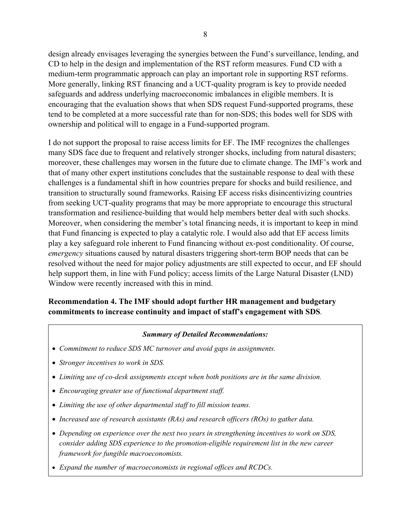design already envisages leveraging the synergies between the Fund's surveillance, lending, and CD to help in the design and implementation of the RST reform measures. Fund CD with a medium-term programmatic approach can play an important role in supporting RST reforms. More generally, linking RST financing and a UCT-quality program is key to provide needed safeguards and address underlying macroeconomic imbalances in eligible members. It is encouraging that the evaluation shows that when SDS request Fund-supported programs, these tend to be completed at a more successful rate than for non-SDS; this bodes well for SDS with ownership and political will to engage in a Fund-supported program.

I do not support the proposal to raise access limits for EF. The IMF recognizes the challenges many SDS face due to frequent and relatively stronger shocks, including from natural disasters; moreover, these challenges may worsen in the future due to climate change. The IMF's work and that of many other expert institutions concludes that the sustainable response to deal with these challenges is a fundamental shift in how countries prepare for shocks and build resilience, and transition to structurally sound frameworks. Raising EF access risks disincentivizing countries from seeking UCT-quality programs that may be more appropriate to encourage this structural transformation and resilience-building that would help members better deal with such shocks. Moreover, when considering the member's total financing needs, it is important to keep in mind that Fund financing is expected to play a catalytic role. I would also add that EF access limits play a key safeguard role inherent to Fund financing without ex-post conditionality. Of course, *emergency* situations caused by natural disasters triggering short-term BOP needs that can be resolved without the need for major policy adjustments are still expected to occur, and EF should help support them, in line with Fund policy; access limits of the Large Natural Disaster (LND) Window were recently increased with this in mind.

# **Recommendation 4. The IMF should adopt further HR management and budgetary commitments to increase continuity and impact of staff's engagement with SDS***.*

### *Summary of Detailed Recommendations:*

- *Commitment to reduce SDS MC turnover and avoid gaps in assignments.*
- *Stronger incentives to work in SDS.*
- *Limiting use of co-desk assignments except when both positions are in the same division.*
- *Encouraging greater use of functional department staff.*
- *Limiting the use of other departmental staff to fill mission teams.*
- *Increased use of research assistants (RAs) and research officers (ROs) to gather data.*
- *Depending on experience over the next two years in strengthening incentives to work on SDS, consider adding SDS experience to the promotion-eligible requirement list in the new career framework for fungible macroeconomists.*
- *Expand the number of macroeconomists in regional offices and RCDCs.*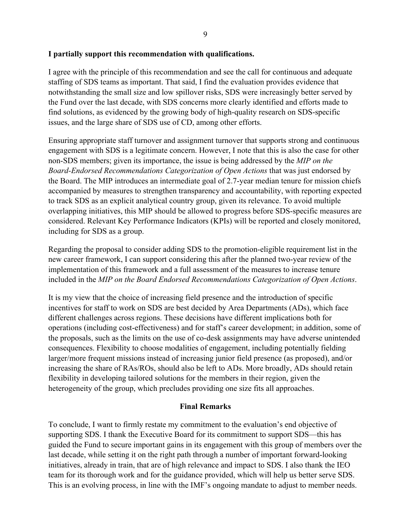### **I partially support this recommendation with qualifications.**

I agree with the principle of this recommendation and see the call for continuous and adequate staffing of SDS teams as important. That said, I find the evaluation provides evidence that notwithstanding the small size and low spillover risks, SDS were increasingly better served by the Fund over the last decade, with SDS concerns more clearly identified and efforts made to find solutions, as evidenced by the growing body of high-quality research on SDS-specific issues, and the large share of SDS use of CD, among other efforts.

Ensuring appropriate staff turnover and assignment turnover that supports strong and continuous engagement with SDS is a legitimate concern. However, I note that this is also the case for other non-SDS members; given its importance, the issue is being addressed by the *MIP on the Board-Endorsed Recommendations Categorization of Open Actions* that was just endorsed by the Board. The MIP introduces an intermediate goal of 2.7-year median tenure for mission chiefs accompanied by measures to strengthen transparency and accountability, with reporting expected to track SDS as an explicit analytical country group, given its relevance. To avoid multiple overlapping initiatives, this MIP should be allowed to progress before SDS-specific measures are considered. Relevant Key Performance Indicators (KPIs) will be reported and closely monitored, including for SDS as a group.

Regarding the proposal to consider adding SDS to the promotion-eligible requirement list in the new career framework, I can support considering this after the planned two-year review of the implementation of this framework and a full assessment of the measures to increase tenure included in the *MIP on the Board Endorsed Recommendations Categorization of Open Actions*.

It is my view that the choice of increasing field presence and the introduction of specific incentives for staff to work on SDS are best decided by Area Departments (ADs), which face different challenges across regions. These decisions have different implications both for operations (including cost-effectiveness) and for staff's career development; in addition, some of the proposals, such as the limits on the use of co-desk assignments may have adverse unintended consequences. Flexibility to choose modalities of engagement, including potentially fielding larger/more frequent missions instead of increasing junior field presence (as proposed), and/or increasing the share of RAs/ROs, should also be left to ADs. More broadly, ADs should retain flexibility in developing tailored solutions for the members in their region, given the heterogeneity of the group, which precludes providing one size fits all approaches.

#### **Final Remarks**

To conclude, I want to firmly restate my commitment to the evaluation's end objective of supporting SDS. I thank the Executive Board for its commitment to support SDS—this has guided the Fund to secure important gains in its engagement with this group of members over the last decade, while setting it on the right path through a number of important forward-looking initiatives, already in train, that are of high relevance and impact to SDS. I also thank the IEO team for its thorough work and for the guidance provided, which will help us better serve SDS. This is an evolving process, in line with the IMF's ongoing mandate to adjust to member needs.